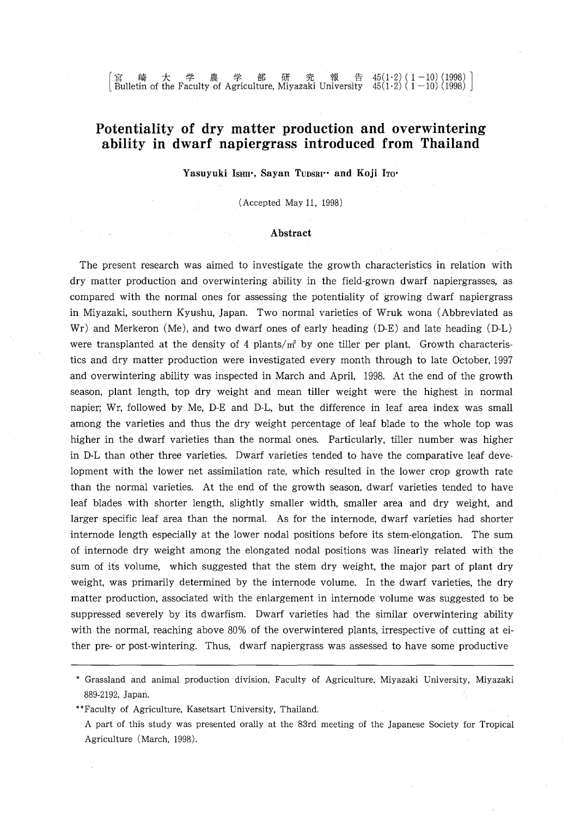| 宮 崎 大 学 農 学 部 研 究 報 告 45(1·2) ( 1 - 10) (1998) |<br>| Bulletin of the Faculty of Agriculture, Miyazaki University 45(1·2) ( 1 - 10) (1998) | Bulletin of the Faculty of Agriculture, Miyazaki University  $45(1\cdot2)$  (  $1-10)$  (1998)

## **Potentiality of dry matter production and overwintering ability in dwarf napiergrass introduced from Thailand**

Yasuyuki IsHII\*, Sayan TUDSRI\*\* and Koji ITO\*

(Accepted May 11, 1998)

#### **Abstract**

The present research was aimed to investigate the growth characteristics in relation with dry matter production and overwintering ability in the field-grown dwarf napiergrasses, as compared with the normal ones for assessing the potentiality of growing dwarf napiergrass in Miyazaki, southern Kyushu, Japan. Two normal varieties of Wruk wona (Abbreviated as Wr) and Merkeron (Me), and two dwarf ones of early heading (D-E) and late heading (D-L) were transplanted at the density of 4 plants/ $m<sup>2</sup>$  by one tiller per plant. Growth characteristics and dry matter production were investigated every month through to late October, 1997 and overwintering ability was inspected in March and April, 1998. At the end of the growth season, plant length, top dry weight and mean tiller weight were the highest in normal napier; Wr, followed by Me, D-E and D-L, but the difference in leaf area index was small among the varieties and thus the dry weight percentage of leaf blade to the whole top was higher in the dwarf varieties than the normal ones. Particularly, tiller number was higher in D-L than other three varieties. Dwarf varieties tended to have the comparative leaf development with the lower net assimilation rate, which resulted in the lower crop growth rate than the normal varieties. At the end of the growth season, dwarf varieties tended to have leaf blades with shorter length, slightly smaller width, smaller area and dry weight, and larger specific leaf area than the normal. As for the internode, dwarf varieties had shorter internode length especially at the lower nodal positions before its stem-elongation. The sum of internode dry weight among the elongated nodal positions was linearly related with the sum of its volume, which suggested that the stem dry weight, the major part of plant dry weight, was primarily determined by the internode volume. In the dwarf varieties, the dry matter production, associated with the enlargement in internode volume was suggested to be suppressed severely by its dwarfism. Dwarf varieties had the similar overwintering ability with the normal, reaching above 80% of the overwintered plants, irrespective of cutting at either pre- or post-wintering. Thus, dwarf napiergrass was assessed to have some productive

<sup>,</sup> Grassland and animal production division, Faculty of Agriculture, Miyazaki University, Miyazaki 889-2192, Japan.

<sup>&</sup>quot;Faculty of Agriculture, Kasetsart University, Thailand.

A part of this study was presented orally at the 83rd meeting of the Japanese Society for Tropical Agriculture (March, 1998).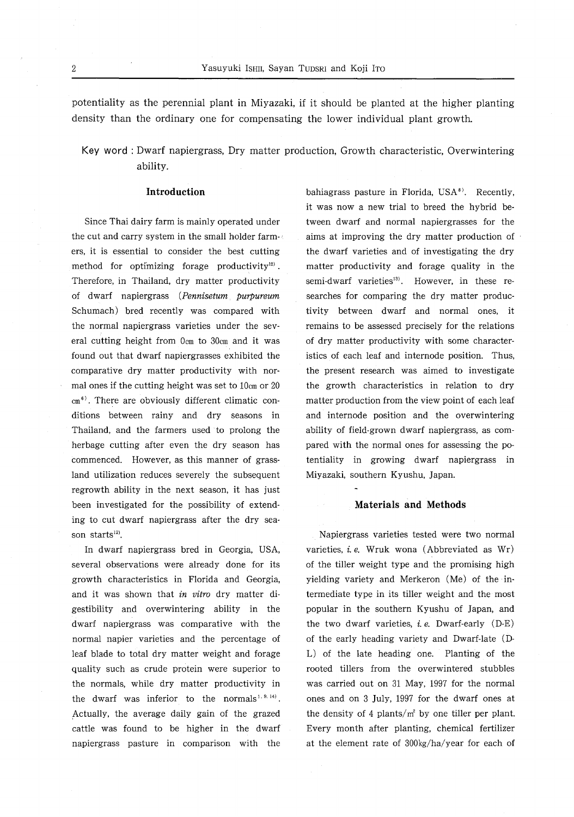potentiality as the perennial plant in Miyazaki, if it should be planted at the higher planting density than the ordinary one for compensating the lower individual plant growth.

**Key word:** Dwarf napiergrass, Dry matter production, Growth characteristic, Overwintering ability.

#### **Introduction**

Since Thai dairy farm is mainly operated under the cut and carry system in the small holder farmers, it is essential to consider the best cutting method for optimizing forage productivity $12$ . Therefore, in Thailand, dry matter productivity of dwarf napiergrass *(Pennisetum purpureum* Schumach) bred recently was compared with the normal napiergrass varieties under the several cutting height from Ocm to 30cm and it was found out that dwarf napiergrasses exhibited the comparative dry matter productivity with normal ones if the cutting height was set to 10cm or 20  $cm<sup>6</sup>$ . There are obviously different climatic conditions between rainy and dry seasons in Thailand, and the farmers used to prolong the herbage cutting after even the dry season has commenced. However, as this manner of grassland utilization reduces severely the subsequent regrowth ability in the next season, it has just been investigated for the possibility of extending to cut dwarf napiergrass after the dry season starts<sup>12)</sup>.

In dwarf napiergrass bred in Georgia, USA, several observations were already done for its growth characteristics in Florida and Georgia, and it was shown that *in vitro* dry matter digestibility and overwintering ability in the dwarf napiergrass was comparative with the normal napier varieties and the percentage of leaf blade to total dry matter weight and forage quality such as crude protein were superior to the normals, while dry matter productivity in the dwarf was inferior to the normals<sup>1, 9, 14</sup>). Actually, the average daily gain of the grazed cattle was found to be higher in the dwarf napiergrass pasture in comparison with the bahiagrass pasture in Florida,  $USA^8$ . Recently, it was now a new trial to breed the hybrid between dwarf and normal napiergrasses for the aims at improving the dry matter production of the dwarf varieties and of investigating the dry matter productivity and forage quality in the semi-dwarf varieties<sup>13</sup>. However, in these researches for comparing the dry matter productivity between dwarf and normal ones, it remains to be assessed precisely for the relations of dry matter productivity with some characteristics of each leaf and internode position. Thus, the present research was aimed to investigate the growth characteristics in relation to dry matter production from the view point of each leaf and internode position and the overwintering ability of field-grown dwarf napiergrass, as compared with the normal ones for assessing the potentiality in growing dwarf napiergrass in Miyazaki, southern Kyushu, Japan.

#### **Materials and Methods**

Napiergrass varieties tested were two normal varieties, i. *e.* Wruk wona (Abbreviated as Wr) of the tiller weight type and the promising high yielding variety and Merkeron (Me) of the intermediate type in its tiller weight and the most popular in the southern Kyushu of Japan, and the two dwarf varieties, *i.e.* Dwarf-early  $(D-E)$ of the early heading variety and Dwarf-late (D-L) of the late heading one. Planting of the rooted tillers from the overwintered stubbles was carried out on 31 May, 1997 for the normal ones and on 3 July, 1997 for the dwarf ones at the density of 4 plants/ $m^2$  by one tiller per plant. Every month after planting, chemical fertilizer at the element rate of 300kg/ha/year for each of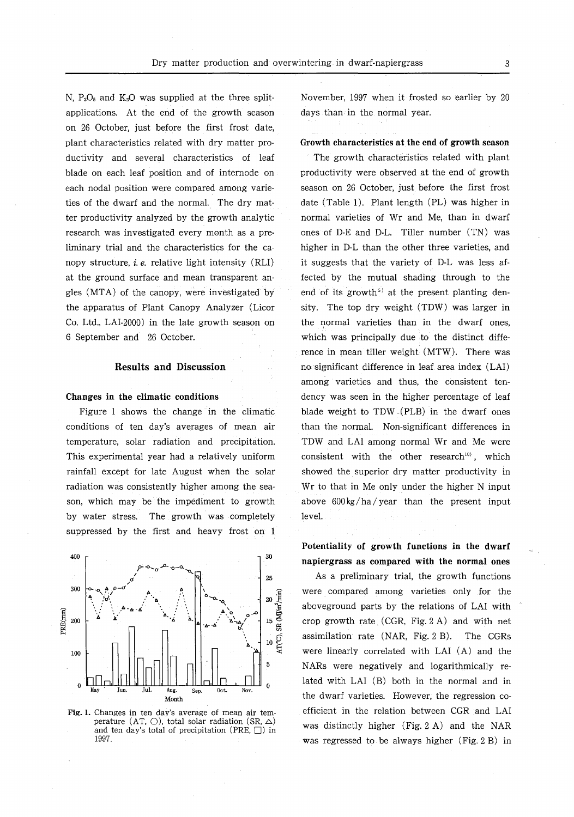N,  $P_2O_5$  and  $K_2O$  was supplied at the three splitapplications. At the end of the growth season on 26 October, just before the first frost date, plant characteristics related with dry matter productivity and several characteristics of leaf blade on each leaf position and of internode on each nodal position were compared among varieties of the dwarf and the normal. The dry matter productivity analyzed by the growth analytic research was investigated every month as a preliminary trial and the characteristics for the canopy structure, i, *e.* relative light intensity (RLI) at the ground surface and mean transparent angles (MTA) of the canopy, were investigated by the apparatus of Plant Canopy Analyzer (Licor Co. Ltd., LAI-2000) in the late growth season on 6 September and 26 October.

#### Results and Discussion

#### Changes in the climatic conditions

Figure 1 shows the change in the climatic conditions of ten day's averages of mean air temperature, solar radiation and precipitation. This experimental year had a relatively uniform rainfall except for late August when the solar radiation was consistently higher among the season, which may be the impediment to growth by water stress. The growth was completely suppressed by the first and heavy frost on 1



Fig. 1. Changes in ten day's average of mean air temperature (AT,  $\bigcirc$ ), total solar radiation (SR,  $\triangle$ ) and ten day's total of precipitation (PRE,  $\Box$ ) in 1997.

November, 1997 when it frosted so earlier by 20 days than in the normal year.

### Growth characteristics at the end of growth season

The growth characteristics related with plant productivity were observed at the end of growth season on 26 October, just before the first frost date (Table 1). Plant length (PL) was higher in normal varieties of Wr and Me, than in dwarf ones of D-E and D-L. Tiller number (TN) was higher in D-L than the other three varieties, and it suggests that the variety of D-L was less affected by the mutual shading through to the end of its growth<sup> $5$ </sup> at the present planting density. The top dry weight (TDW) was larger in the normal varieties than in the dwarf ones, which was principally due to the distinct difference in mean tiller weight (MTW). There was no significant difference in leaf area index (LA!) among varieties and thus, the consistent tendency was seen in the higher percentage of leaf blade weight to TDW (PLB) in the dwarf ones than the normal. Non-significant differences in TDW and LAI among normal Wr and Me were consistent with the other research<sup>10</sup>, which showed the superior dry matter productivity in Wr to that in Me only under the higher N input above 600kg/ha/year than the present input level.

Potentiality of growth functions in the dwarf napiergrass as compared with the normal ones

As a preliminary trial, the growth functions were compared among varieties only for the aboveground parts by the relations of LAI with crop growth rate (CGR, Fig. 2 A) and with net assimilation rate (NAR, Fig. 2 B). The CGRs were linearly correlated with LAI (A) and the NARs were negatively and logarithmically related with LAI (B) both in the normal and in the dwarf varieties. However, the regression coefficient in the relation between CGR and LAI was distinctly higher (Fig. 2 A) and the NAR was regressed to be always higher (Fig. 2 B) in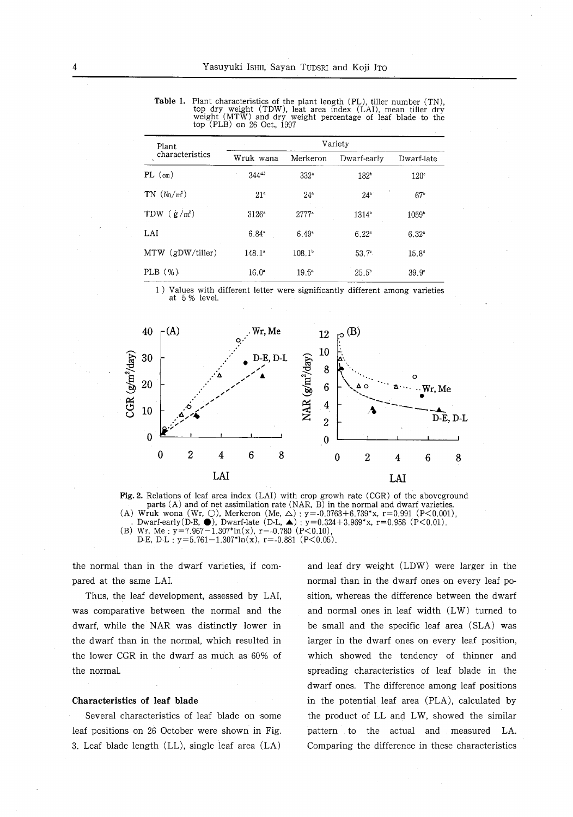Table 1. Plant characteristics of the plant length (PL), tiller number (TN), top dry weight (TDW), leat area index (LA!), mean tiller dry weight (MTW) and dry weight percentage of leaf blade to the top (PLB) on 26 Oct., 1997

| Variety           |                  |                  |                   |
|-------------------|------------------|------------------|-------------------|
| Wruk wana         | Merkeron         | Dwarf-early      | Dwarf-late        |
| $344^{41}$        | 332 <sup>a</sup> | 182 <sup>b</sup> | 120°              |
| 21 <sup>a</sup>   | $24^{\circ}$     | $24^{\circ}$     | 67 <sup>b</sup>   |
| $3126^{\circ}$    | $2777^{\circ}$   | $1314^{\circ}$   | 1059 <sup>b</sup> |
| $6.84^{\circ}$    | $6.49*$          | $6.22^{a}$       | $6.32^{\circ}$    |
| $148.1^*$         | $108.1^{\circ}$  | $53.7^{\circ}$   | $15.8^{d}$        |
| 16.0 <sup>a</sup> | $19.5^{\circ}$   | $25.5^{\circ}$   | 39.9°             |
|                   |                  |                  |                   |

1) Values with different letter were significantly different among varieties at 5 % level.



Fig. 2. Relations of leaf area index (LAI) with crop growh rate (CGR) of the aboveground parts  $(A)$  and of net assimilation rate  $(NAR, B)$  in the normal and dwarf varieties. (A) Wruk wona (Wr,  $\bigcirc$ ), Merkeron (Me,  $\triangle$ ) : y=-0.0763+6.739\*x, r=0.991 (P<0.001)  $-$  Dwarf-early(D-E,  $\bullet$ ), Dwarf-late (D-L,  $\blacktriangle$ ) : y=0.324+3.969\*x, r=0.958 (P<0.01) (B) Wr, Me:  $y=7.967-1.307*ln(x)$ , r=-0.780 (P<0.10), D-E, D-L :  $y=5.761-1.307*ln(x)$ ,  $r=-0.881$  (P<0.05).

the normal than in the dwarf varieties, if compared at the same LAl.

Thus, the leaf development, assessed by LAI, was comparative between the normal and the dwarf, while the NAR was distinctly lower in the dwarf than in the normal, which resulted in the lower CGR in the dwarf as much as 60% of the normal.

#### Characteristics of leaf blade

Several characteristics of leaf blade on some leaf positions on 26 October were shown in Fig. 3. Leaf blade length (LL), single leaf area (LA)

and leaf dry weight (LDW) were larger in the normal than in the dwarf ones on every leaf position, whereas the difference between the dwarf and normal ones in leaf width (LW) turned to be small and the specific leaf area (SLA) was larger in the dwarf ones on every leaf position, which showed the tendency of thinner and spreading characteristics of leaf blade in the dwarf ones. The difference among leaf positions in the potential leaf area (PLA), calculated by the product of LL and LW, showed the similar pattern to the actual and measured LA. Comparing the difference in these characteristics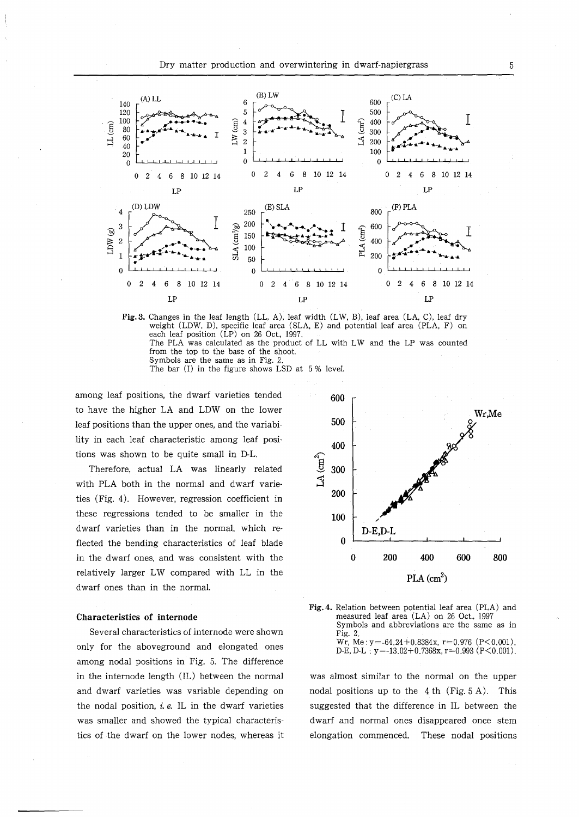



The bar (I) in the figure shows LSD at 5% level.

among leaf positions, the dwarf varieties tended to have the higher LA and LDW on the lower leaf positions than the upper ones, and the variability in each leaf characteristic among leaf positions was shown to be quite small in D-L.

Therefore, actual LA was linearly related with PLA both in the normal and dwarf varieties (Fig. 4). However, regression coefficient in these regressions tended to be smaller in the dwarf varieties than in the normal, which reflected the bending characteristics of leaf blade in the dwarf ones, and was consistent with the relatively larger LW compared with LL in the dwarf ones than in the normal.

#### Characteristics of internode

Several characteristics of internode were shown only for the aboveground and elongated ones among nodal positions in Fig. 5. The difference in the internode length (IL) between the normal and dwarf varieties was variable depending on the nodal position,  $i.e.$  IL in the dwarf varieties was smaller and showed the typical characteristics of the dwarf on the lower nodes, whereas it





was almost similar to the normal on the upper nodal positions up to the 4th (Fig. 5A). This suggested that the difference in IL between the dwarf and normal ones disappeared once stem elongation commenced. These nodal positions

5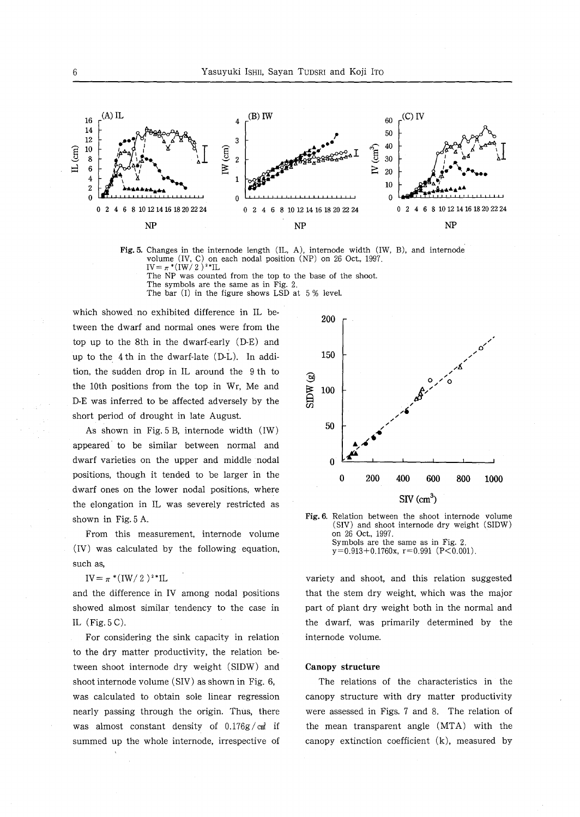

Fig. 5. Changes in the internode length (lL, A), internode width (lW, B), and internode volume (lv, C) on each nodal position (NP) on 26 Oct., 1997.  $IV = \pi * (IW / 2)^{2} * IL$ 

The NP was counted from the top to the base of the shoot. The symbols are the same as in Fig. 2.

The bar  $(I)$  in the figure shows LSD at  $5\%$  level.

which showed no exhibited difference in IL between the dwarf and normal ones were from the top up to the 8th in the dwarf-early (D-E) and up to the 4 th in the dwarf-late (D-L). In addition, the sudden drop in IL around the 9 th to the 10th positions from the top in Wr, Me and D-E was inferred to be affected adversely by the short period of drought in late August.

As shown in Fig. 5 B, internode width (IW) appeared' to be similar between normal and dwarf varieties on the upper and middle nodal positions, though it tended to be larger in the dwarf ones on the lower nodal positions, where the elongation in IL was severely restricted as shown in Fig. 5 A.

From this measurement, internode volume (IV) was calculated by the following equation, such as,

 $IV = \pi * (IW / 2)^{2*}IL$ 

and the difference in IV among nodal positions showed almost similar tendency to the case in IL (Fig. 5 C).

For considering the sink capacity in relation to the dry matter productivity, the relation between shoot internode dry weight (SIDW) and shoot internode volume (SIV) as shown in Fig. 6, was calculated to obtain sole linear regression nearly passing through the origin. Thus, there was almost constant density of  $0.176g/cm^3$  if summed up the whole internode, irrespective of





variety and shoot, and this relation suggested that the stem dry weight, which was the major part of plant dry weight both in the normal and the dwarf, was primarily determined by the internode volume.

#### Canopy structure

The relations of the characteristics in the canopy structure with dry matter productivity were assessed in Figs. 7 and 8. The relation of the mean transparent angle (MTA) with the canopy extinction coefficient (k), measured by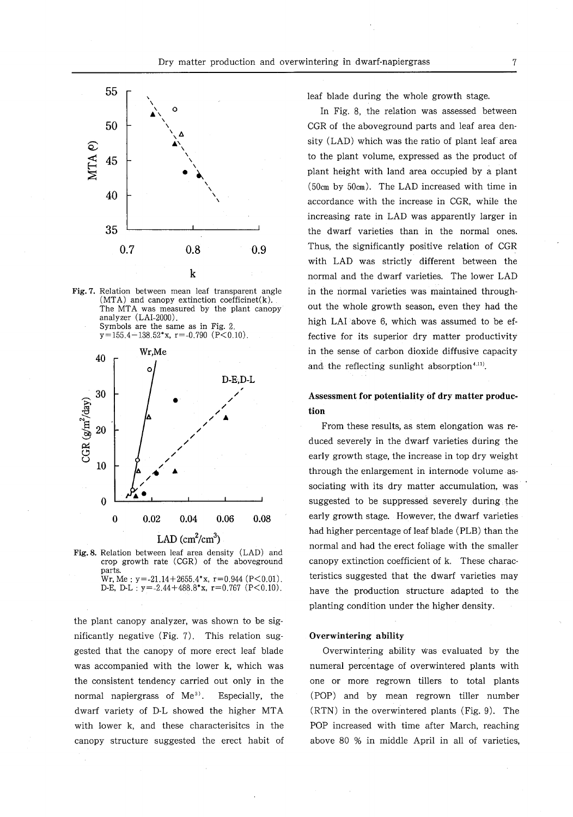

Fig. 7. Relation between mean leaf transparent angle  $(MTA)$  and canopy extinction coefficinet $(k)$ . The MTA was measured by the plant canopy analyzer (LAI-2000). Symbols are the same as in Fig. 2.  $y=155.4-138.52*x$ ,  $r=-0.790$  (P<0.10).



Fig. 8. Relation between leaf area density (LAD) and crop growth rate (CGR) of the aboveground parts. Wr, Me:  $y = -21.14 + 2655.4*x$ ,  $r = 0.944$  (P<0.01). D-E, D-L:  $y = -2.44 + 488.8*x$ ,  $r = 0.767$  (P<0.10).

the plant canopy analyzer, was shown to be significantly negative (Fig. 7). This relation suggested that the canopy of more erect leaf blade was accompanied with the lower k, which was the consistent tendency carried out only in the normal napiergrass of  $Me<sup>3</sup>$ . Especially, the dwarf variety of D-L showed the higher **MTA** with lower k, and these characterisitcs in the canopy structure suggested the erect habit of leaf blade during the whole growth stage.

In Fig. 8, the relation was assessed between CGR of the aboveground parts and leaf area density (LAD) which was the ratio of plant leaf area to the plant volume, expressed as the product of plant height with land area occupied by a plant (50cm by 50cm). The LAD increased with time in accordance with the increase in CGR, while the increasing rate in LAD was apparently larger in the dwarf varieties than in the normal ones. Thus, the significantly positive relation of CGR with LAD was strictly different between the normal and the dwarf varieties. The lower LAD in the normal varieties was maintained throughout the whole growth season, even they had the high LAI above 6, which was assumed to be effective for its superior dry matter productivity in the sense of carbon dioxide diffusive capacity and the reflecting sunlight absorption<sup> $4,11$ </sup>.

### **Assessment for potentiality of dry matter production**

From these results, as stem elongation was reduced severely in the dwarf varieties during the early growth stage, the increase in top dry weight through the enlargement in internode volume associating with its dry matter accumulation, was suggested to be suppressed severely during the early growth stage. However; the dwarf varieties had higher percentage of leaf blade (PLB) than the normal and had the erect foliage with the smaller canopy extinction coefficient of k. These characteristics suggested that the dwarf varieties may have the production structure adapted to the planting condition under the higher density.

#### **Overwintering ability**

Overwintering ability was evaluated by the numeral percentage of overwintered plants with one or more regrown tillers to total plants (POP) and by mean regrown tiller number (RTN) in the overwintered plants (Fig. 9). The POP increased with time after March, reaching above 80 % in middle April in all of varieties,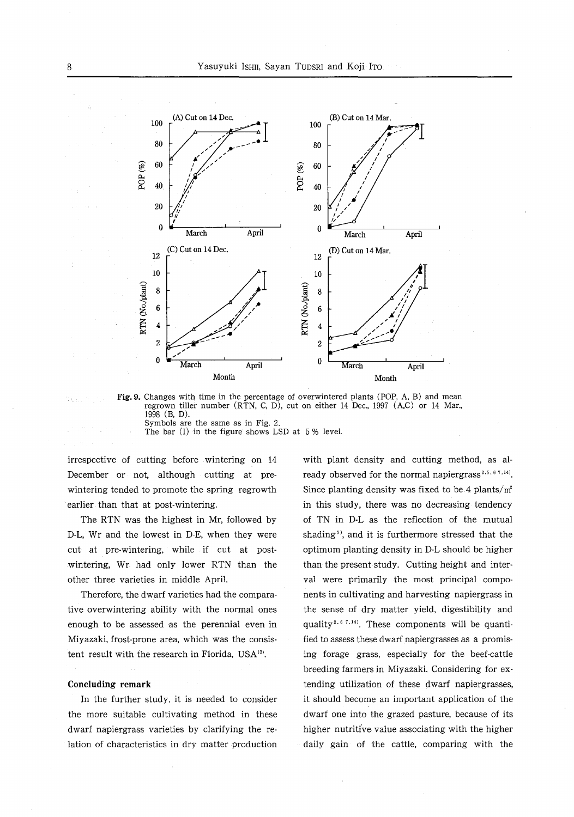

Fig. 9. Changes with time in the percentage of overwintered plants (POP, A, B) and mean regrown tiller number (RTN, C, D), cut on either 14 Dec., 1997 (A,C) or 14 Mar., 1998 (B, D). Symbols are the same as in Fig. 2.

The bar (1) in the figure shows LSD at 5 % level.

irrespective of cutting before wintering on 14 December or not, although cutting at prewintering tended to promote the spring regrowth earlier than that at post-wintering.

The RTN was the highest in Mr, followed by D-L, Wr and the lowest in D-E, when they were cut at pre-wintering, while if cut at postwintering, Wr had only lower RTN than the other three varieties in middle April.

Therefore, the dwarf varieties had the comparative overwintering ability with the normal ones enough to be assessed as the perennial even in Miyazaki, frost-prone area, which was the consistent result with the research in Florida, USA<sup>13)</sup>.

#### **Concluding** remark

In the further study, it is needed to consider the more suitable cultivating method in these dwarf napiergrass varieties by clarifying the relation of characteristics in dry matter production

with plant density and cutting method, as already observed for the normal napiergrass<sup>2,5,67,14</sup>. Since planting density was fixed to be 4 plants/ $m<sup>2</sup>$ in this study, there was no decreasing tendency of TN in D-L as the reflection of the mutual shading<sup> $5$ </sup>, and it is furthermore stressed that the optimum planting density in D-L should be higher than the present study. Cutting height and interval were primarily the most principal components in cultivating and harvesting napiergrass in the sense of dry matter yield, digestibility and quality<sup>2,67,14</sup>. These components will be quantified to assess these dwarf napiergrasses as a promising forage grass, especially for the beef-cattle breeding farmers in Miyazaki. Considering for extending utilization of these dwarf napiergrasses, it should become an important application of the dwarf one into the grazed pasture, because of its higher nutritive value associating with the higher daily gain of the cattle, comparing with the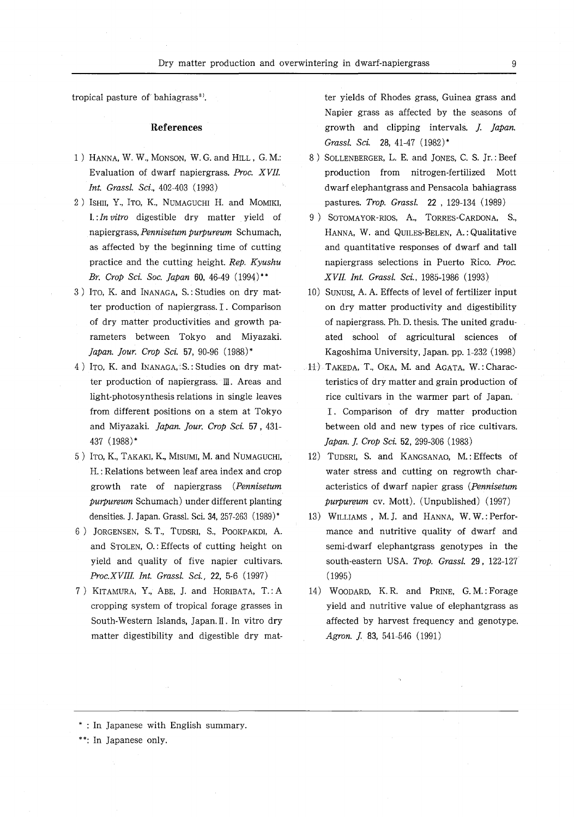tropical pasture of bahiagrass<sup>8</sup>.

#### **References**

- 1) HANNA, W. W., MONSON, W. G. and HILL, G. M.: Evaluation of dwarf napiergrass. *Proc. XVIL Int. Grassl. Sci.,* 402-403 (1993)
- 2) ISHII, Y., ITO, K., NUMAGUCHI H. and MOMIKI, 1. :*In vitro* digestible dry matter yield of napiergrass, *Pennisetum purpureum* Schumach, as affected by the beginning time of cutting practice and the cutting height. *Rep. Kyushu Br. Crop Sci. Soc. Japan 60, 46-49* (1994)\*\*
- 3) ITO, K. and INANAGA, S.: Studies on dry matter production of napiergrass. I. Comparison of dry matter productivities and growth parameters between Tokyo and Miyazaki. *Japan. Jour. Crop Sci.* 57, 90-96 (1988)"
- 4) ITO, K. and INANAGA, S.: Studies on dry matter production of napiergrass. III. Areas and light-photosynthesis relations in single leaves from different positions on a stem at Tokyo and Miyazaki. *Japan. Jour. Crop Sci.* 57, 431- 437 (1988)"
- 5) ITa, K., TAKAKI, K., MISUMI, M. and NUMAGUCHI, H. : Relations between leaf area index and crop growth rate of napiergrass *(Pennisetum purpureum* Schumach) under different planting densities. J. Japan. Grassl. Sci. 34, 257-263 (1989)\*
- 6) JORGENSEN, S. T., TUDSRI, S., POOKPAKDI, A. and STOLEN, 0.: Effects of cutting height on yield and quality of five napier cultivars. *Proc.XVIII Int. Grassl. Sci.,* 22, 5-6 (1997)
- 7) KITAMURA, Y., ABE, J. and HORIBATA, T.: A cropping system of tropical forage grasses in South-Western Islands, Japan. II. In vitro dry matter digestibility and digestible dry mat-

ter yields of Rhodes grass, Guinea grass and Napier grass as affected by the seasons of growth and clipping intervals. *J Japan. Grassl. Sci.* 28, 41-47 (1982)"

- 8) SOLLENBERGER, L. E. and JONES, C. S. Jr.: Beef production from nitrogen-fertilized Mott dwarf elephantgrass and Pensacola bahiagrass pastures. *Trap. Grassl.* 22, 129-134 (1989)
- 9) SOTOMAYOR-RIOS, A., TORRES-CARDONA, S., HANNA, W. and QUILES-BELEN, A.: Qualitative and quantitative responses of dwarf and tall napiergrass selections in Puerto Rico. *Proc. XVIL Int. Grassl. Sci.,* 1985-1986 (1993)
- 10) SUNUSI, A. A. Effects of level of fertilizer input on dry matter productivity and digestibility of napiergrass. Ph. D. thesis. The united graduated school of agricultural sciences of Kagoshima University, Japan. pp. 1-232 (1998)
- 11) TAKEDA, T., OKA, M. and AGATA, W.: Characteristics of dry matter and grain production of rice cultivars in the warmer part of Japan. I. Comparison of dry matter production between old and new types of rice cultivars. *Japan. J Crop Sci.* 52, 299-306 (1983)
- 12) TUDSRI, S. and KANGSANAO, M.: Effects of water stress and cutting on regrowth characteristics of dwarf napier grass *(Pennisetum purpureum* cv. Mott). (Unpublished) (1997)
- 13) WILLIAMS, M. J. and HANNA, W. W.: Performance and nutritive quality of dwarf and semi-dwarf elephantgrass genotypes in the south-eastern USA. *Trap. Grassl.* 29, 122-127 (1995)
- 14) WOODARD, K. R. and PRINE, G. M.: Forage yield and nutritive value of elephantgrass as affected by harvest frequency and genotype. Agron. J. 83, 541-546 (1991).

" : In Japanese with English summary.

\*\*: In Japanese only.